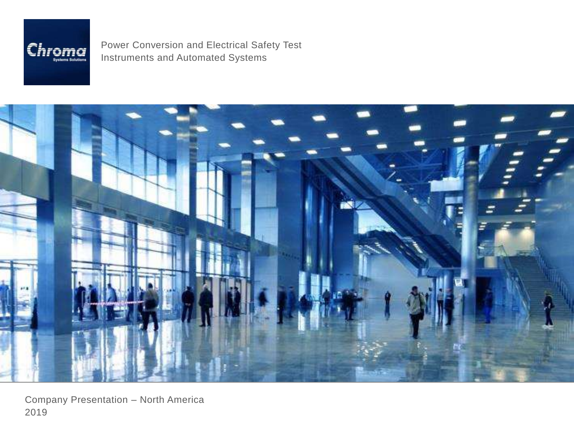

Power Conversion and Electrical Safety Test Instruments and Automated Systems



Company Presentation – North America 2019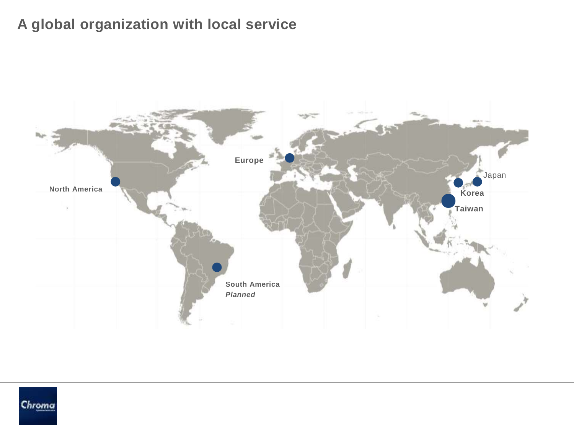## **A global organization with local service**



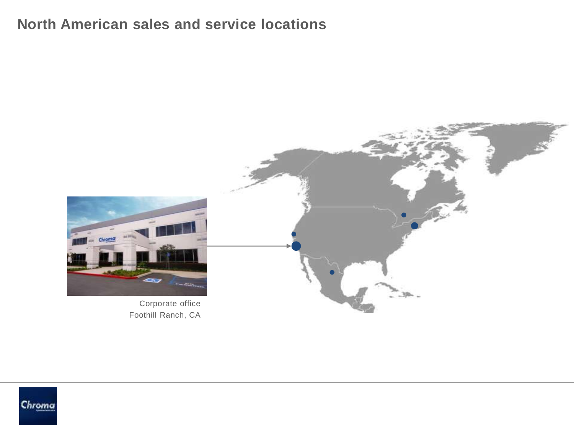### **North American sales and service locations**



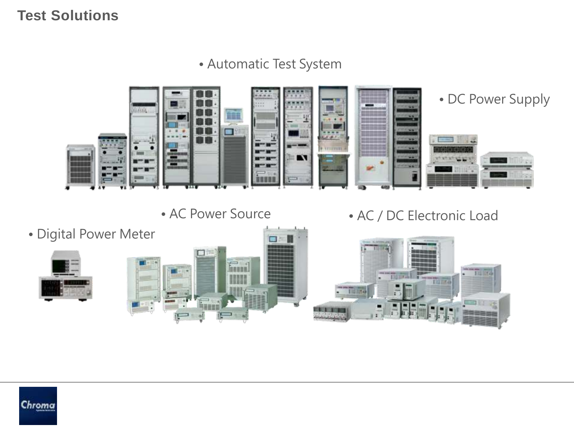#### **Test Solutions**

### • Automatic Test System



• AC Power Source







• AC / DC Electronic Load



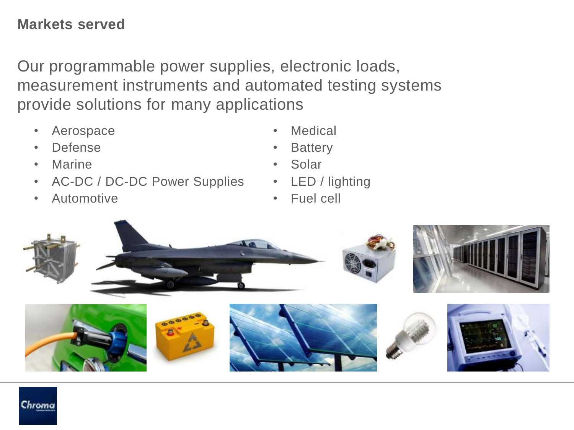### **Markets served**

Our programmable power supplies, electronic loads, measurement instruments and automated testing systems provide solutions for many applications

- Aerospace
- Defense
- Marine

Chroma

- AC-DC / DC-DC Power Supplies
- Automotive
- Medical
- **Battery**
- Solar
- LED / lighting
- Fuel cell

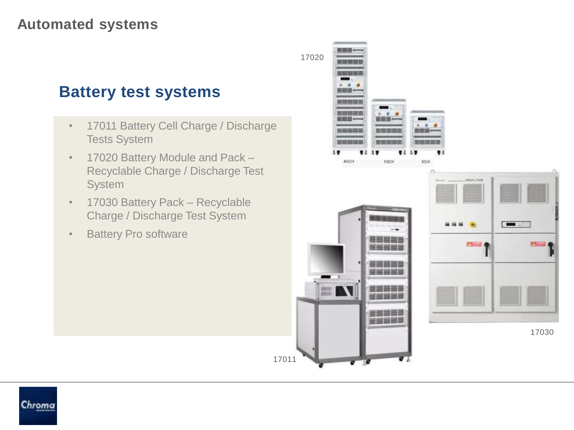## **Battery test systems**

- 17011 Battery Cell Charge / Discharge Tests System
- 17020 Battery Module and Pack -Recyclable Charge / Discharge Test System
- 17030 Battery Pack Recyclable Charge / Discharge Test System

17011

• Battery Pro software

1702048CH 16CH SCH  $5 - 0$ F1-4  $\alpha$  $\begin{bmatrix} 0.01111 \\ 0.01111 \\ 0.01111 \end{bmatrix}$ 17030

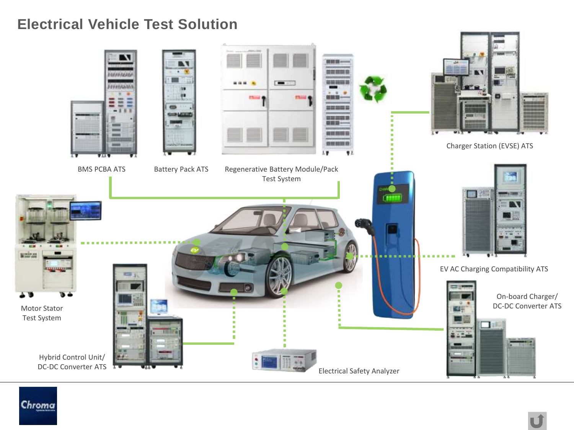#### **Electrical Vehicle Test Solution**



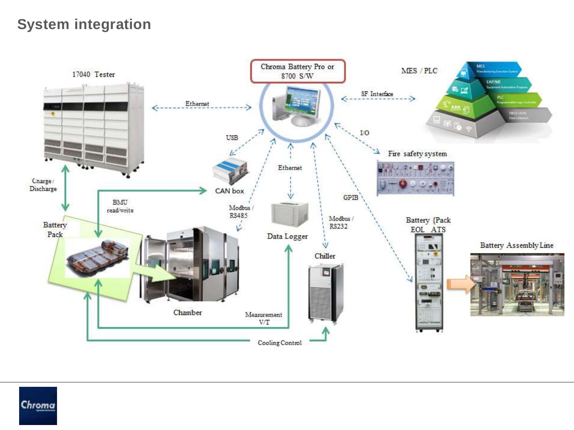### **System integration**



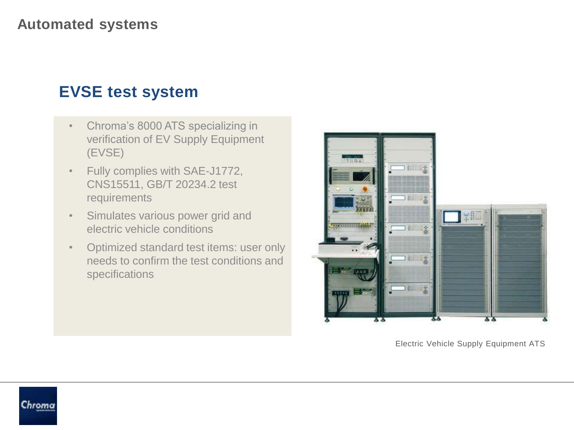# **EVSE test system**

- Chroma's 8000 ATS specializing in verification of EV Supply Equipment (EVSE)
- Fully complies with SAE-J1772, CNS15511, GB/T 20234.2 test requirements
- Simulates various power grid and electric vehicle conditions
- Optimized standard test items: user only needs to confirm the test conditions and specifications



Electric Vehicle Supply Equipment ATS

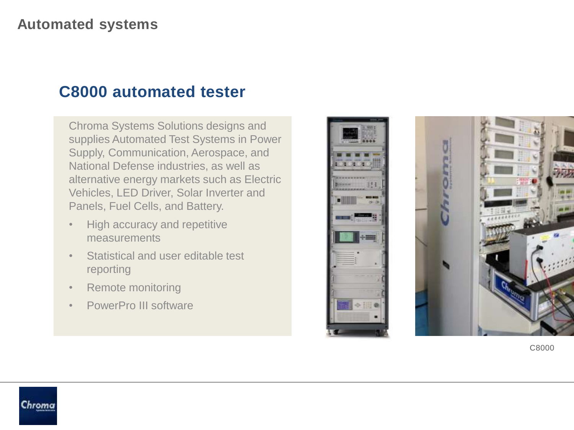## **C8000 automated tester**

Chroma Systems Solutions designs and supplies Automated Test Systems in Power Supply, Communication, Aerospace, and National Defense industries, as well as alternative energy markets such as Electric Vehicles, LED Driver, Solar Inverter and Panels, Fuel Cells, and Battery.

- High accuracy and repetitive measurements
- Statistical and user editable test reporting
- Remote monitoring

Chroma

• PowerPro III software





C8000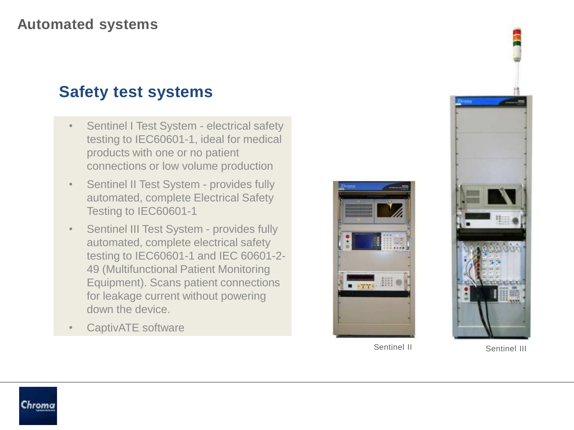# **Safety test systems**

- Sentinel I Test System electrical safety testing to IEC60601-1, ideal for medical products with one or no patient connections or low volume production
- Sentinel II Test System provides fully automated, complete Electrical Safety Testing to IEC60601-1
- Sentinel III Test System provides fully automated, complete electrical safety testing to IEC60601-1 and IEC 60601-2- 49 (Multifunctional Patient Monitoring Equipment). Scans patient connections for leakage current without powering down the device.
- CaptivATE software





Sentinel II Sentinel III